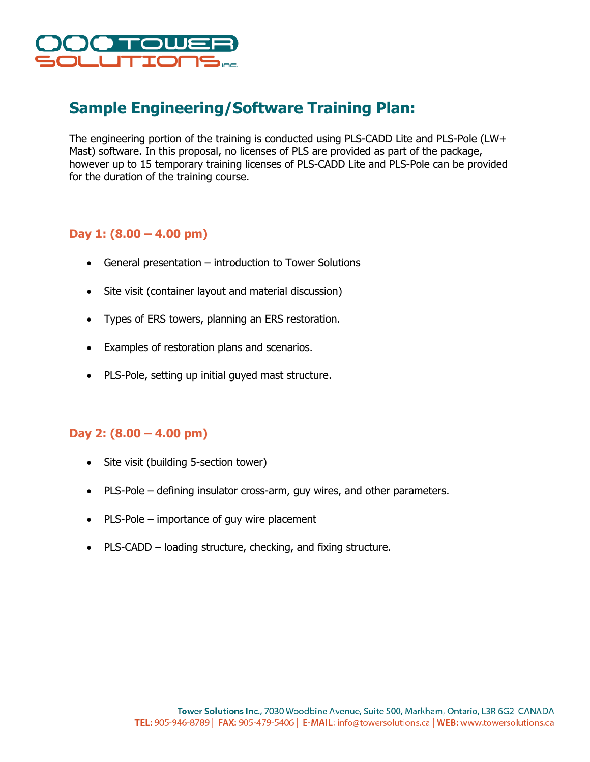

# **Sample Engineering/Software Training Plan:**

The engineering portion of the training is conducted using PLS-CADD Lite and PLS-Pole (LW+ Mast) software. In this proposal, no licenses of PLS are provided as part of the package, however up to 15 temporary training licenses of PLS-CADD Lite and PLS-Pole can be provided for the duration of the training course.

## **Day 1: (8.00 – 4.00 pm)**

- General presentation introduction to Tower Solutions
- Site visit (container layout and material discussion)
- Types of ERS towers, planning an ERS restoration.
- Examples of restoration plans and scenarios.
- PLS-Pole, setting up initial guyed mast structure.

### **Day 2: (8.00 – 4.00 pm)**

- Site visit (building 5-section tower)
- PLS-Pole defining insulator cross-arm, guy wires, and other parameters.
- PLS-Pole importance of guy wire placement
- PLS-CADD loading structure, checking, and fixing structure.